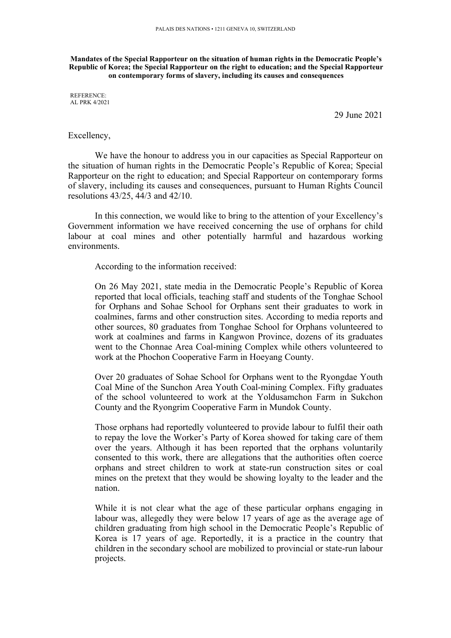**Mandates of the Special Rapporteur on the situation of human rights in the Democratic People'<sup>s</sup> Republic of Korea; the Special Rapporteur on the right to education; and the Special Rapporteur on contemporary forms of slavery, including its causes and consequences**

REFERENCE: AL PRK 4/2021

29 June 2021

#### Excellency,

We have the honour to address you in our capacities as Special Rapporteur on the situation of human rights in the Democratic People'<sup>s</sup> Republic of Korea; Special Rapporteur on the right to education; and Special Rapporteur on contemporary forms of slavery, including its causes and consequences, pursuan<sup>t</sup> to Human Rights Council resolutions 43/25, 44/3 and 42/10.

In this connection, we would like to bring to the attention of your Excellency'<sup>s</sup> Government information we have received concerning the use of orphans for child labour at coal mines and other potentially harmful and hazardous working environments.

According to the information received:

On 26 May 2021, state media in the Democratic People'<sup>s</sup> Republic of Korea reported that local officials, teaching staff and students of the Tonghae School for Orphans and Sohae School for Orphans sent their graduates to work in coalmines, farms and other construction sites. According to media reports and other sources, 80 graduates from Tonghae School for Orphans volunteered to work at coalmines and farms in Kangwon Province, dozens of its graduates went to the Chonnae Area Coal-mining Complex while others volunteered to work at the Phochon Cooperative Farm in Hoeyang County.

Over 20 graduates of Sohae School for Orphans went to the Ryongdae Youth Coal Mine of the Sunchon Area Youth Coal-mining Complex. Fifty graduates of the school volunteered to work at the Yoldusamchon Farm in Sukchon County and the Ryongrim Cooperative Farm in Mundok County.

Those orphans had reportedly volunteered to provide labour to fulfil their oath to repay the love the Worker'<sup>s</sup> Party of Korea showed for taking care of them over the years. Although it has been reported that the orphans voluntarily consented to this work, there are allegations that the authorities often coerce orphans and street children to work at state-run construction sites or coal mines on the pretext that they would be showing loyalty to the leader and the nation.

While it is not clear what the age of these particular orphans engaging in labour was, allegedly they were below 17 years of age as the average age of children graduating from high school in the Democratic People'<sup>s</sup> Republic of Korea is 17 years of age. Reportedly, it is <sup>a</sup> practice in the country that children in the secondary school are mobilized to provincial or state-run labour projects.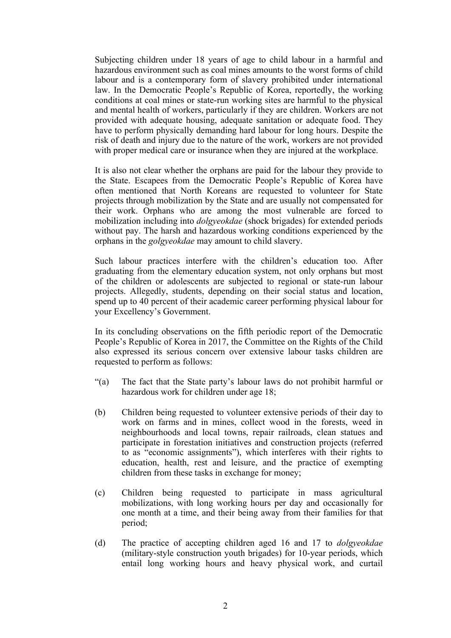Subjecting children under 18 years of age to child labour in <sup>a</sup> harmful and hazardous environment such as coal mines amounts to the worst forms of child labour and is <sup>a</sup> contemporary form of slavery prohibited under international law. In the Democratic People'<sup>s</sup> Republic of Korea, reportedly, the working conditions at coal mines or state-run working sites are harmful to the physical and mental health of workers, particularly if they are children. Workers are not provided with adequate housing, adequate sanitation or adequate food. They have to perform physically demanding hard labour for long hours. Despite the risk of death and injury due to the nature of the work, workers are not provided with proper medical care or insurance when they are injured at the workplace.

It is also not clear whether the orphans are paid for the labour they provide to the State. Escapees from the Democratic People'<sup>s</sup> Republic of Korea have often mentioned that North Koreans are requested to volunteer for State projects through mobilization by the State and are usually not compensated for their work. Orphans who are among the most vulnerable are forced to mobilization including into *dolgyeokdae* (shock brigades) for extended periods without pay. The harsh and hazardous working conditions experienced by the orphans in the *golgyeokdae* may amount to child slavery.

Such labour practices interfere with the children'<sup>s</sup> education too. After graduating from the elementary education system, not only orphans but most of the children or adolescents are subjected to regional or state-run labour projects. Allegedly, students, depending on their social status and location, spend up to 40 percen<sup>t</sup> of their academic career performing physical labour for your Excellency'<sup>s</sup> Government.

In its concluding observations on the fifth periodic repor<sup>t</sup> of the Democratic People'<sup>s</sup> Republic of Korea in 2017, the Committee on the Rights of the Child also expressed its serious concern over extensive labour tasks children are requested to perform as follows:

- "(a) The fact that the State party'<sup>s</sup> labour laws do not prohibit harmful or hazardous work for children under age 18;
- (b) Children being requested to volunteer extensive periods of their day to work on farms and in mines, collect wood in the forests, weed in neighbourhoods and local towns, repair railroads, clean statues and participate in forestation initiatives and construction projects (referred to as "economic assignments"), which interferes with their rights to education, health, rest and leisure, and the practice of exempting children from these tasks in exchange for money;
- (c) Children being requested to participate in mass agricultural mobilizations, with long working hours per day and occasionally for one month at <sup>a</sup> time, and their being away from their families for that period;
- (d) The practice of accepting children aged 16 and 17 to *dolgyeokdae* (military-style construction youth brigades) for 10-year periods, which entail long working hours and heavy physical work, and curtail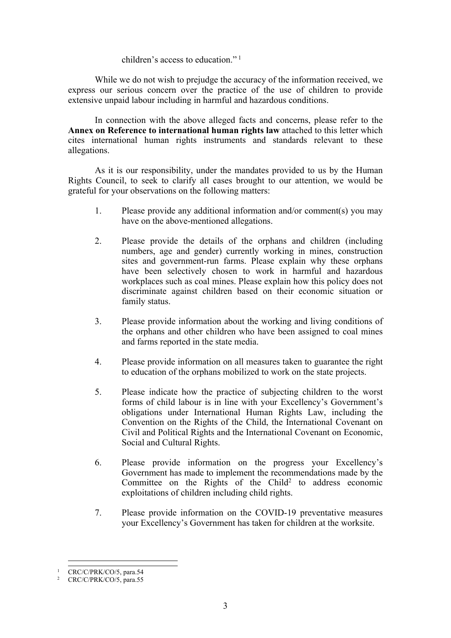#### children'<sup>s</sup> access to education." <sup>1</sup>

While we do not wish to prejudge the accuracy of the information received, we express our serious concern over the practice of the use of children to provide extensive unpaid labour including in harmful and hazardous conditions.

In connection with the above alleged facts and concerns, please refer to the **Annex on Reference to international human rights law** attached to this letter which cites international human rights instruments and standards relevant to these allegations.

As it is our responsibility, under the mandates provided to us by the Human Rights Council, to seek to clarify all cases brought to our attention, we would be grateful for your observations on the following matters:

- 1. Please provide any additional information and/or comment(s) you may have on the above-mentioned allegations.
- 2. Please provide the details of the orphans and children (including numbers, age and gender) currently working in mines, construction sites and government-run farms. Please explain why these orphans have been selectively chosen to work in harmful and hazardous workplaces such as coal mines. Please explain how this policy does not discriminate against children based on their economic situation or family status.
- 3. Please provide information about the working and living conditions of the orphans and other children who have been assigned to coal mines and farms reported in the state media.
- 4. Please provide information on all measures taken to guarantee the right to education of the orphans mobilized to work on the state projects.
- 5. Please indicate how the practice of subjecting children to the worst forms of child labour is in line with your Excellency'<sup>s</sup> Government'<sup>s</sup> obligations under International Human Rights Law, including the Convention on the Rights of the Child, the International Covenant on Civil and Political Rights and the International Covenant on Economic, Social and Cultural Rights.
- 6. Please provide information on the progress your Excellency'<sup>s</sup> Government has made to implement the recommendations made by the Committee on the Rights of the Child<sup>2</sup> to address economic exploitations of children including child rights.
- 7. Please provide information on the COVID-19 preventative measures your Excellency'<sup>s</sup> Government has taken for children at the worksite.

<sup>1</sup> CRC/C/PRK/CO/5, para.54

 $2$  CRC/C/PRK/CO/5, para.55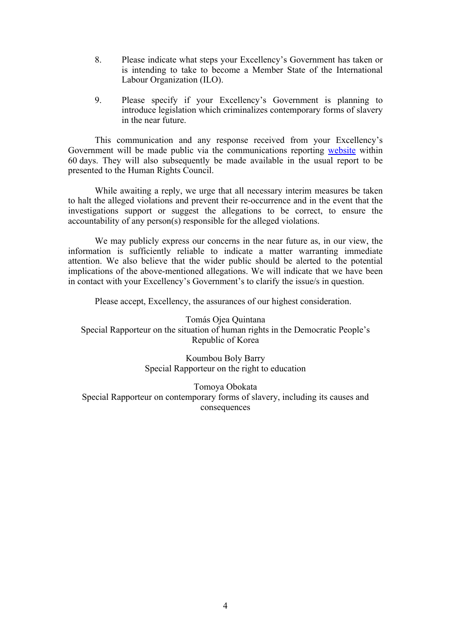- 8. Please indicate what steps your Excellency'<sup>s</sup> Government has taken or is intending to take to become <sup>a</sup> Member State of the International Labour Organization (ILO).
- 9. Please specify if your Excellency'<sup>s</sup> Government is planning to introduce legislation which criminalizes contemporary forms of slavery in the near future.

This communication and any response received from your Excellency'<sup>s</sup> Government will be made public via the communications reporting [website](https://spcommreports.ohchr.org/) within 60 days. They will also subsequently be made available in the usual repor<sup>t</sup> to be presented to the Human Rights Council.

While awaiting <sup>a</sup> reply, we urge that all necessary interim measures be taken to halt the alleged violations and preven<sup>t</sup> their re-occurrence and in the event that the investigations suppor<sup>t</sup> or sugges<sup>t</sup> the allegations to be correct, to ensure the accountability of any person(s) responsible for the alleged violations.

We may publicly express our concerns in the near future as, in our view, the information is sufficiently reliable to indicate <sup>a</sup> matter warranting immediate attention. We also believe that the wider public should be alerted to the potential implications of the above-mentioned allegations. We will indicate that we have been in contact with your Excellency'<sup>s</sup> Government'<sup>s</sup> to clarify the issue/s in question.

Please accept, Excellency, the assurances of our highest consideration.

Tomás Ojea Quintana Special Rapporteur on the situation of human rights in the Democratic People'<sup>s</sup> Republic of Korea

> Koumbou Boly Barry Special Rapporteur on the right to education

Tomoya Obokata Special Rapporteur on contemporary forms of slavery, including its causes and consequences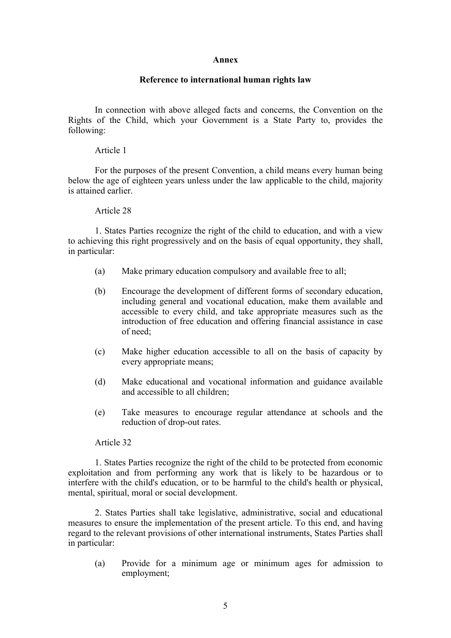## **Annex**

# **Reference to international human rights law**

In connection with above alleged facts and concerns, the Convention on the Rights of the Child, which your Government is <sup>a</sup> State Party to, provides the following:

## Article 1

For the purposes of the presen<sup>t</sup> Convention, <sup>a</sup> child means every human being below the age of eighteen years unless under the law applicable to the child, majority is attained earlier.

# Article 28

1. States Parties recognize the right of the child to education, and with <sup>a</sup> view to achieving this right progressively and on the basis of equal opportunity, they shall, in particular:

- (a) Make primary education compulsory and available free to all;
- (b) Encourage the development of different forms of secondary education, including general and vocational education, make them available and accessible to every child, and take appropriate measures such as the introduction of free education and offering financial assistance in case of need;
- (c) Make higher education accessible to all on the basis of capacity by every appropriate means;
- (d) Make educational and vocational information and guidance available and accessible to all children;
- (e) Take measures to encourage regular attendance at schools and the reduction of drop-out rates.

## Article 32

1. States Parties recognize the right of the child to be protected from economic exploitation and from performing any work that is likely to be hazardous or to interfere with the child's education, or to be harmful to the child's health or physical, mental, spiritual, moral or social development.

2. States Parties shall take legislative, administrative, social and educational measures to ensure the implementation of the presen<sup>t</sup> article. To this end, and having regard to the relevant provisions of other international instruments, States Parties shall in particular:

(a) Provide for <sup>a</sup> minimum age or minimum ages for admission to employment;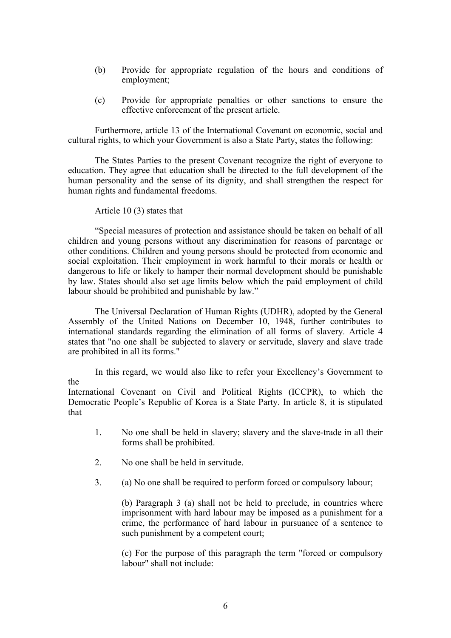- (b) Provide for appropriate regulation of the hours and conditions of employment;
- (c) Provide for appropriate penalties or other sanctions to ensure the effective enforcement of the presen<sup>t</sup> article.

Furthermore, article 13 of the International Covenant on economic, social and cultural rights, to which your Government is also <sup>a</sup> State Party, states the following:

The States Parties to the presen<sup>t</sup> Covenant recognize the right of everyone to education. They agree that education shall be directed to the full development of the human personality and the sense of its dignity, and shall strengthen the respec<sup>t</sup> for human rights and fundamental freedoms.

Article 10 (3) states that

the

"Special measures of protection and assistance should be taken on behalf of all children and young persons without any discrimination for reasons of parentage or other conditions. Children and young persons should be protected from economic and social exploitation. Their employment in work harmful to their morals or health or dangerous to life or likely to hamper their normal development should be punishable by law. States should also set age limits below which the paid employment of child labour should be prohibited and punishable by law."

The Universal Declaration of Human Rights (UDHR), adopted by the General Assembly of the United Nations on December 10, 1948, further contributes to international standards regarding the elimination of all forms of slavery. Article 4 states that "no one shall be subjected to slavery or servitude, slavery and slave trade are prohibited in all its forms."

In this regard, we would also like to refer your Excellency'<sup>s</sup> Government to

International Covenant on Civil and Political Rights (ICCPR), to which the Democratic People'<sup>s</sup> Republic of Korea is <sup>a</sup> State Party. In article 8, it is stipulated that

- 1. No one shall be held in slavery; slavery and the slave-trade in all their forms shall be prohibited.
- 2. No one shall be held in servitude.
- 3. (a) No one shall be required to perform forced or compulsory labour;

(b) Paragraph 3 (a) shall not be held to preclude, in countries where imprisonment with hard labour may be imposed as <sup>a</sup> punishment for <sup>a</sup> crime, the performance of hard labour in pursuance of <sup>a</sup> sentence to such punishment by <sup>a</sup> competent court;

(c) For the purpose of this paragraph the term "forced or compulsory labour" shall not include: